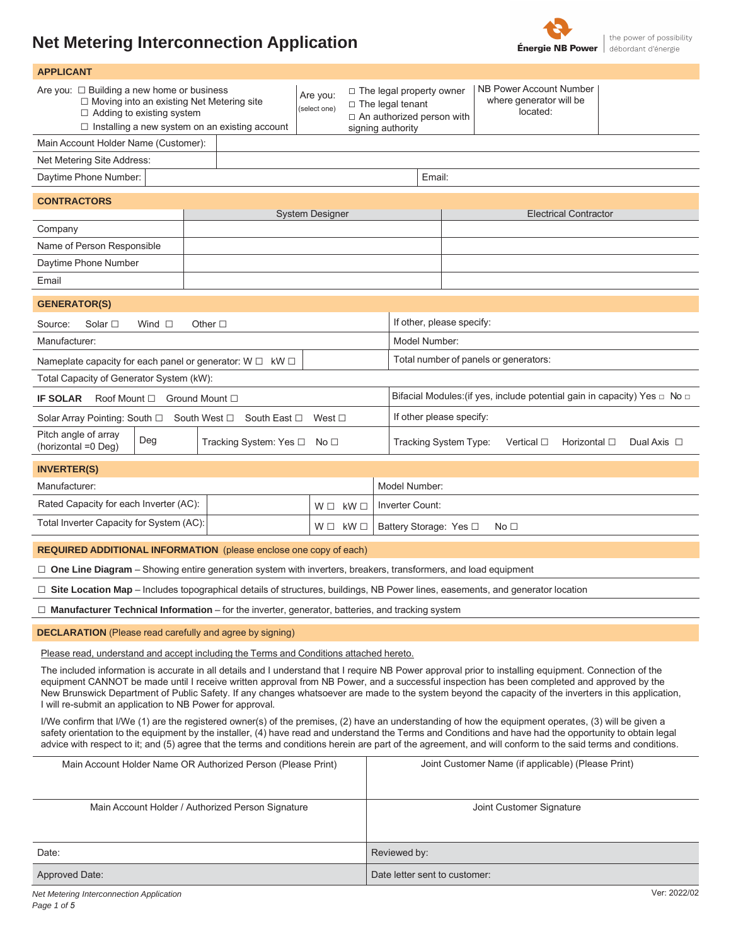# **Net Metering Interconnection Application**



| <b>APPLICANT</b>                                                                                                                                                                                                                                                                                                                                                                                                                                                                |                                                                                                                                                                                  |
|---------------------------------------------------------------------------------------------------------------------------------------------------------------------------------------------------------------------------------------------------------------------------------------------------------------------------------------------------------------------------------------------------------------------------------------------------------------------------------|----------------------------------------------------------------------------------------------------------------------------------------------------------------------------------|
| Are you: $\Box$ Building a new home or business<br>Are you:<br>$\Box$ Moving into an existing Net Metering site<br>(select one)<br>$\Box$ Adding to existing system<br>$\Box$ Installing a new system on an existing account                                                                                                                                                                                                                                                    | NB Power Account Number<br>$\Box$ The legal property owner<br>where generator will be<br>$\Box$ The legal tenant<br>located:<br>□ An authorized person with<br>signing authority |
| Main Account Holder Name (Customer):                                                                                                                                                                                                                                                                                                                                                                                                                                            |                                                                                                                                                                                  |
| Net Metering Site Address:                                                                                                                                                                                                                                                                                                                                                                                                                                                      |                                                                                                                                                                                  |
| Daytime Phone Number:<br>Email:                                                                                                                                                                                                                                                                                                                                                                                                                                                 |                                                                                                                                                                                  |
| <b>CONTRACTORS</b>                                                                                                                                                                                                                                                                                                                                                                                                                                                              |                                                                                                                                                                                  |
| <b>System Designer</b><br>Company                                                                                                                                                                                                                                                                                                                                                                                                                                               | <b>Electrical Contractor</b>                                                                                                                                                     |
| Name of Person Responsible                                                                                                                                                                                                                                                                                                                                                                                                                                                      |                                                                                                                                                                                  |
| Daytime Phone Number                                                                                                                                                                                                                                                                                                                                                                                                                                                            |                                                                                                                                                                                  |
| Email                                                                                                                                                                                                                                                                                                                                                                                                                                                                           |                                                                                                                                                                                  |
| <b>GENERATOR(S)</b>                                                                                                                                                                                                                                                                                                                                                                                                                                                             |                                                                                                                                                                                  |
| Wind $\square$<br>Other $\Box$<br>Source:<br>Solar $\square$                                                                                                                                                                                                                                                                                                                                                                                                                    | If other, please specify:                                                                                                                                                        |
| Manufacturer:                                                                                                                                                                                                                                                                                                                                                                                                                                                                   | Model Number:                                                                                                                                                                    |
| Nameplate capacity for each panel or generator: $W \Box$ kW $\Box$                                                                                                                                                                                                                                                                                                                                                                                                              | Total number of panels or generators:                                                                                                                                            |
| Total Capacity of Generator System (kW):                                                                                                                                                                                                                                                                                                                                                                                                                                        |                                                                                                                                                                                  |
| <b>IF SOLAR</b><br>Roof Mount $\Box$ Ground Mount $\Box$                                                                                                                                                                                                                                                                                                                                                                                                                        | Bifacial Modules: (if yes, include potential gain in capacity) Yes $\Box$ No $\Box$                                                                                              |
| Solar Array Pointing: South □ South West □ South East □<br>West ⊡                                                                                                                                                                                                                                                                                                                                                                                                               | If other please specify:                                                                                                                                                         |
| Pitch angle of array<br>Deg<br>Tracking System: Yes □ No □<br>(horizontal = 0 Deg)                                                                                                                                                                                                                                                                                                                                                                                              | Tracking System Type:<br>Vertical $\Box$<br>Horizontal $\square$<br>Dual Axis $\Box$                                                                                             |
| <b>INVERTER(S)</b>                                                                                                                                                                                                                                                                                                                                                                                                                                                              |                                                                                                                                                                                  |
| Manufacturer:                                                                                                                                                                                                                                                                                                                                                                                                                                                                   | Model Number:                                                                                                                                                                    |
| Rated Capacity for each Inverter (AC):<br>$W \Box$ k $W \Box$                                                                                                                                                                                                                                                                                                                                                                                                                   | Inverter Count:                                                                                                                                                                  |
| Total Inverter Capacity for System (AC):<br>$W \Box$ k $W \Box$                                                                                                                                                                                                                                                                                                                                                                                                                 | Battery Storage: Yes □<br>No <sub>1</sub>                                                                                                                                        |
| <b>REQUIRED ADDITIONAL INFORMATION</b> (please enclose one copy of each)                                                                                                                                                                                                                                                                                                                                                                                                        |                                                                                                                                                                                  |
| □ One Line Diagram – Showing entire generation system with inverters, breakers, transformers, and load equipment                                                                                                                                                                                                                                                                                                                                                                |                                                                                                                                                                                  |
| □ Site Location Map - Includes topographical details of structures, buildings, NB Power lines, easements, and generator location                                                                                                                                                                                                                                                                                                                                                |                                                                                                                                                                                  |
| $\Box$ Manufacturer Technical Information – for the inverter, generator, batteries, and tracking system                                                                                                                                                                                                                                                                                                                                                                         |                                                                                                                                                                                  |
| <b>DECLARATION</b> (Please read carefully and agree by signing)                                                                                                                                                                                                                                                                                                                                                                                                                 |                                                                                                                                                                                  |
| Please read, understand and accept including the Terms and Conditions attached hereto.                                                                                                                                                                                                                                                                                                                                                                                          |                                                                                                                                                                                  |
| The included information is accurate in all details and I understand that I require NB Power approval prior to installing equipment. Connection of the                                                                                                                                                                                                                                                                                                                          |                                                                                                                                                                                  |
| equipment CANNOT be made until I receive written approval from NB Power, and a successful inspection has been completed and approved by the<br>New Brunswick Department of Public Safety. If any changes whatsoever are made to the system beyond the capacity of the inverters in this application,<br>I will re-submit an application to NB Power for approval.                                                                                                               |                                                                                                                                                                                  |
| I/We confirm that I/We (1) are the registered owner(s) of the premises, (2) have an understanding of how the equipment operates, (3) will be given a<br>safety orientation to the equipment by the installer, (4) have read and understand the Terms and Conditions and have had the opportunity to obtain legal<br>advice with respect to it; and (5) agree that the terms and conditions herein are part of the agreement, and will conform to the said terms and conditions. |                                                                                                                                                                                  |
| Main Account Holder Name OR Authorized Person (Please Print)                                                                                                                                                                                                                                                                                                                                                                                                                    | Joint Customer Name (if applicable) (Please Print)                                                                                                                               |
| Main Account Holder / Authorized Person Signature                                                                                                                                                                                                                                                                                                                                                                                                                               | Joint Customer Signature                                                                                                                                                         |
| Date:                                                                                                                                                                                                                                                                                                                                                                                                                                                                           | Reviewed by:                                                                                                                                                                     |
| Approved Date:                                                                                                                                                                                                                                                                                                                                                                                                                                                                  | Date letter sent to customer:                                                                                                                                                    |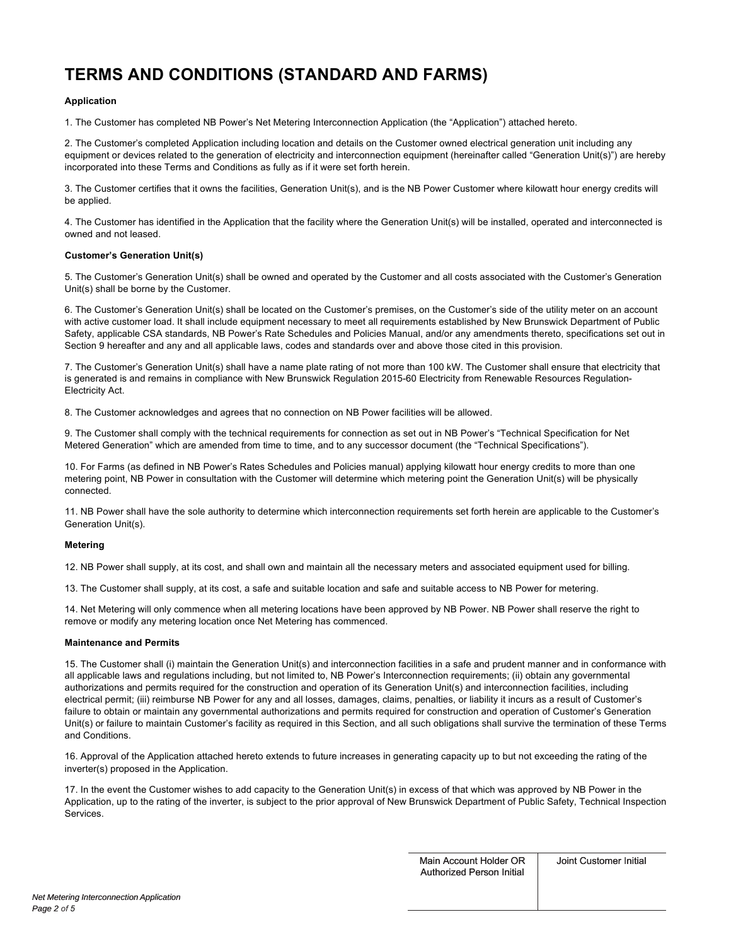# **TERMS AND CONDITIONS (STANDARD AND FARMS)**

# **Application**

1. The Customer has completed NB Power's Net Metering Interconnection Application (the "Application") attached hereto.

2. The Customer's completed Application including location and details on the Customer owned electrical generation unit including any equipment or devices related to the generation of electricity and interconnection equipment (hereinafter called "Generation Unit(s)") are hereby incorporated into these Terms and Conditions as fully as if it were set forth herein.

3. The Customer certifies that it owns the facilities, Generation Unit(s), and is the NB Power Customer where kilowatt hour energy credits will be applied.

4. The Customer has identified in the Application that the facility where the Generation Unit(s) will be installed, operated and interconnected is owned and not leased.

## **Customer's Generation Unit(s)**

5. The Customer's Generation Unit(s) shall be owned and operated by the Customer and all costs associated with the Customer's Generation Unit(s) shall be borne by the Customer.

6. The Customer's Generation Unit(s) shall be located on the Customer's premises, on the Customer's side of the utility meter on an account with active customer load. It shall include equipment necessary to meet all requirements established by New Brunswick Department of Public Safety, applicable CSA standards, NB Power's Rate Schedules and Policies Manual, and/or any amendments thereto, specifications set out in Section 9 hereafter and any and all applicable laws, codes and standards over and above those cited in this provision.

7. The Customer's Generation Unit(s) shall have a name plate rating of not more than 100 kW. The Customer shall ensure that electricity that is generated is and remains in compliance with New Brunswick Regulation 2015-60 Electricity from Renewable Resources Regulation-Electricity Act.

8. The Customer acknowledges and agrees that no connection on NB Power facilities will be allowed.

9. The Customer shall comply with the technical requirements for connection as set out in NB Power's "Technical Specification for Net Metered Generation" which are amended from time to time, and to any successor document (the "Technical Specifications").

10. For Farms (as defined in NB Power's Rates Schedules and Policies manual) applying kilowatt hour energy credits to more than one metering point, NB Power in consultation with the Customer will determine which metering point the Generation Unit(s) will be physically connected.

11. NB Power shall have the sole authority to determine which interconnection requirements set forth herein are applicable to the Customer's Generation Unit(s).

## **Metering**

12. NB Power shall supply, at its cost, and shall own and maintain all the necessary meters and associated equipment used for billing.

13. The Customer shall supply, at its cost, a safe and suitable location and safe and suitable access to NB Power for metering.

14. Net Metering will only commence when all metering locations have been approved by NB Power. NB Power shall reserve the right to remove or modify any metering location once Net Metering has commenced.

## **Maintenance and Permits**

15. The Customer shall (i) maintain the Generation Unit(s) and interconnection facilities in a safe and prudent manner and in conformance with all applicable laws and regulations including, but not limited to, NB Power's Interconnection requirements; (ii) obtain any governmental authorizations and permits required for the construction and operation of its Generation Unit(s) and interconnection facilities, including electrical permit; (iii) reimburse NB Power for any and all losses, damages, claims, penalties, or liability it incurs as a result of Customer's failure to obtain or maintain any governmental authorizations and permits required for construction and operation of Customer's Generation Unit(s) or failure to maintain Customer's facility as required in this Section, and all such obligations shall survive the termination of these Terms and Conditions.

16. Approval of the Application attached hereto extends to future increases in generating capacity up to but not exceeding the rating of the inverter(s) proposed in the Application.

17. In the event the Customer wishes to add capacity to the Generation Unit(s) in excess of that which was approved by NB Power in the Application, up to the rating of the inverter, is subject to the prior approval of New Brunswick Department of Public Safety, Technical Inspection Services.

> Main Account Holder OR Authorized Person Initial

Joint Customer Initial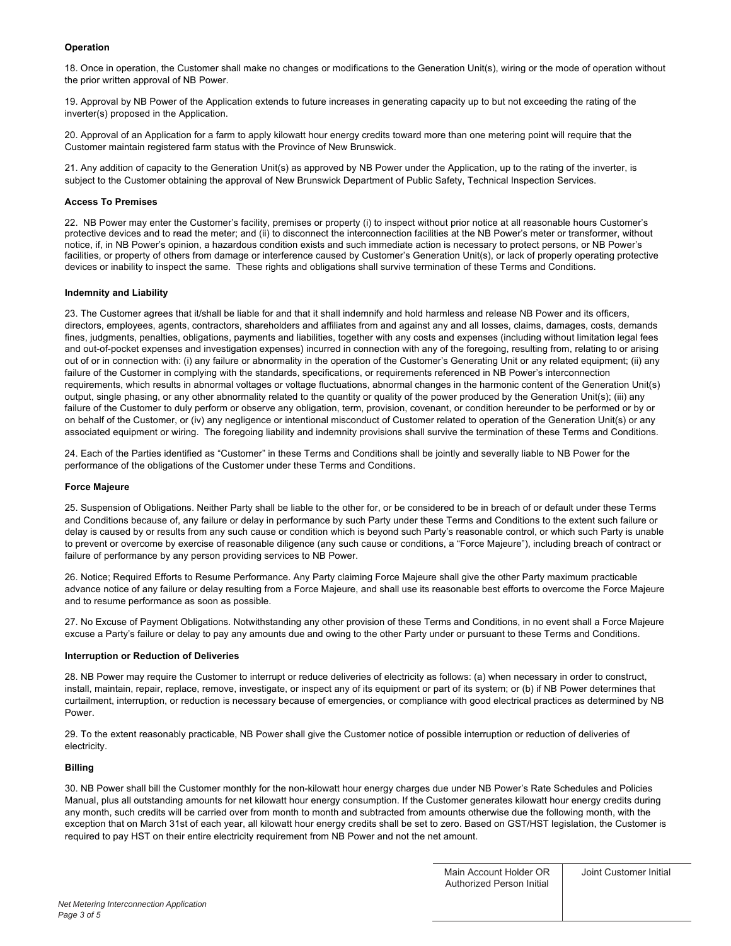# **Operation**

18. Once in operation, the Customer shall make no changes or modifications to the Generation Unit(s), wiring or the mode of operation without the prior written approval of NB Power.

19. Approval by NB Power of the Application extends to future increases in generating capacity up to but not exceeding the rating of the inverter(s) proposed in the Application.

20. Approval of an Application for a farm to apply kilowatt hour energy credits toward more than one metering point will require that the Customer maintain registered farm status with the Province of New Brunswick.

21. Any addition of capacity to the Generation Unit(s) as approved by NB Power under the Application, up to the rating of the inverter, is subject to the Customer obtaining the approval of New Brunswick Department of Public Safety, Technical Inspection Services.

## **Access To Premises**

22. NB Power may enter the Customer's facility, premises or property (i) to inspect without prior notice at all reasonable hours Customer's protective devices and to read the meter; and (ii) to disconnect the interconnection facilities at the NB Power's meter or transformer, without notice, if, in NB Power's opinion, a hazardous condition exists and such immediate action is necessary to protect persons, or NB Power's facilities, or property of others from damage or interference caused by Customer's Generation Unit(s), or lack of properly operating protective devices or inability to inspect the same. These rights and obligations shall survive termination of these Terms and Conditions.

## **Indemnity and Liability**

23. The Customer agrees that it/shall be liable for and that it shall indemnify and hold harmless and release NB Power and its officers, directors, employees, agents, contractors, shareholders and affiliates from and against any and all losses, claims, damages, costs, demands fines, judgments, penalties, obligations, payments and liabilities, together with any costs and expenses (including without limitation legal fees and out-of-pocket expenses and investigation expenses) incurred in connection with any of the foregoing, resulting from, relating to or arising out of or in connection with: (i) any failure or abnormality in the operation of the Customer's Generating Unit or any related equipment; (ii) any failure of the Customer in complying with the standards, specifications, or requirements referenced in NB Power's interconnection requirements, which results in abnormal voltages or voltage fluctuations, abnormal changes in the harmonic content of the Generation Unit(s) output, single phasing, or any other abnormality related to the quantity or quality of the power produced by the Generation Unit(s); (iii) any failure of the Customer to duly perform or observe any obligation, term, provision, covenant, or condition hereunder to be performed or by or on behalf of the Customer, or (iv) any negligence or intentional misconduct of Customer related to operation of the Generation Unit(s) or any associated equipment or wiring. The foregoing liability and indemnity provisions shall survive the termination of these Terms and Conditions.

24. Each of the Parties identified as "Customer" in these Terms and Conditions shall be jointly and severally liable to NB Power for the performance of the obligations of the Customer under these Terms and Conditions.

### **Force Majeure**

25. Suspension of Obligations. Neither Party shall be liable to the other for, or be considered to be in breach of or default under these Terms and Conditions because of, any failure or delay in performance by such Party under these Terms and Conditions to the extent such failure or delay is caused by or results from any such cause or condition which is beyond such Party's reasonable control, or which such Party is unable to prevent or overcome by exercise of reasonable diligence (any such cause or conditions, a "Force Majeure"), including breach of contract or failure of performance by any person providing services to NB Power.

26. Notice; Required Efforts to Resume Performance. Any Party claiming Force Majeure shall give the other Party maximum practicable advance notice of any failure or delay resulting from a Force Majeure, and shall use its reasonable best efforts to overcome the Force Majeure and to resume performance as soon as possible.

27. No Excuse of Payment Obligations. Notwithstanding any other provision of these Terms and Conditions, in no event shall a Force Majeure excuse a Party's failure or delay to pay any amounts due and owing to the other Party under or pursuant to these Terms and Conditions.

### **Interruption or Reduction of Deliveries**

28. NB Power may require the Customer to interrupt or reduce deliveries of electricity as follows: (a) when necessary in order to construct, install, maintain, repair, replace, remove, investigate, or inspect any of its equipment or part of its system; or (b) if NB Power determines that curtailment, interruption, or reduction is necessary because of emergencies, or compliance with good electrical practices as determined by NB Power.

29. To the extent reasonably practicable, NB Power shall give the Customer notice of possible interruption or reduction of deliveries of electricity.

### **Billing**

30. NB Power shall bill the Customer monthly for the non-kilowatt hour energy charges due under NB Power's Rate Schedules and Policies Manual, plus all outstanding amounts for net kilowatt hour energy consumption. If the Customer generates kilowatt hour energy credits during any month, such credits will be carried over from month to month and subtracted from amounts otherwise due the following month, with the exception that on March 31st of each year, all kilowatt hour energy credits shall be set to zero. Based on GST/HST legislation, the Customer is required to pay HST on their entire electricity requirement from NB Power and not the net amount.

Main Account Holder OR Authorized Person Initial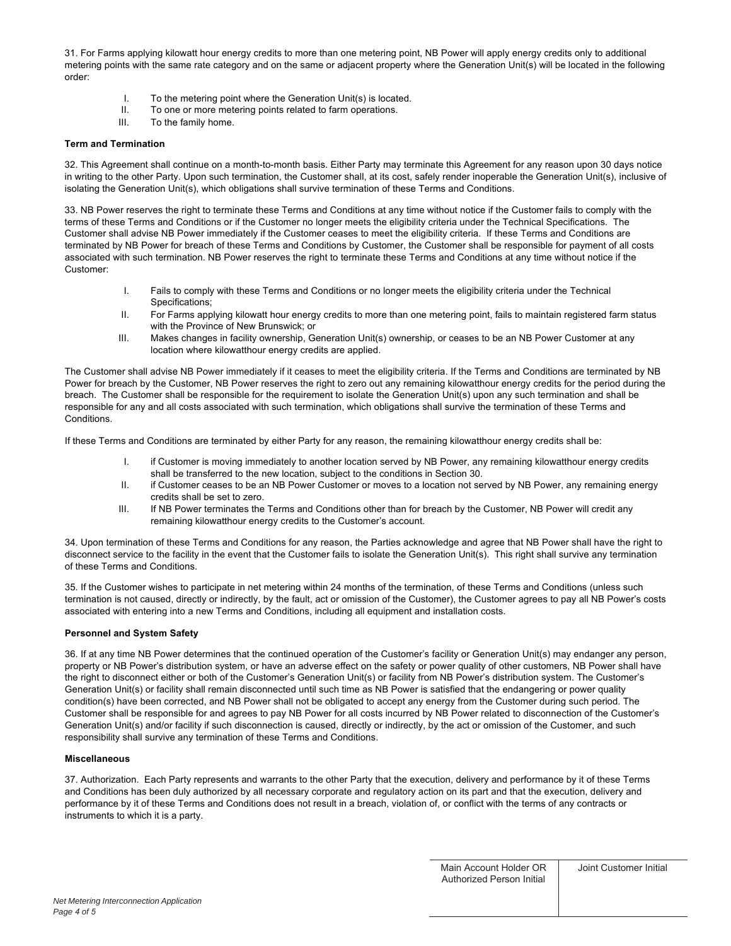31. For Farms applying kilowatt hour energy credits to more than one metering point, NB Power will apply energy credits only to additional metering points with the same rate category and on the same or adjacent property where the Generation Unit(s) will be located in the following order:

- I. To the metering point where the Generation Unit(s) is located.<br>II. To one or more metering points related to farm operations.
- To one or more metering points related to farm operations.
- III. To the family home.

# **Term and Termination**

32. This Agreement shall continue on a month-to-month basis. Either Party may terminate this Agreement for any reason upon 30 days notice in writing to the other Party. Upon such termination, the Customer shall, at its cost, safely render inoperable the Generation Unit(s), inclusive of isolating the Generation Unit(s), which obligations shall survive termination of these Terms and Conditions.

33. NB Power reserves the right to terminate these Terms and Conditions at any time without notice if the Customer fails to comply with the terms of these Terms and Conditions or if the Customer no longer meets the eligibility criteria under the Technical Specifications. The Customer shall advise NB Power immediately if the Customer ceases to meet the eligibility criteria. If these Terms and Conditions are terminated by NB Power for breach of these Terms and Conditions by Customer, the Customer shall be responsible for payment of all costs associated with such termination. NB Power reserves the right to terminate these Terms and Conditions at any time without notice if the Customer:

- I. Fails to comply with these Terms and Conditions or no longer meets the eligibility criteria under the Technical Specifications;
- II. For Farms applying kilowatt hour energy credits to more than one metering point, fails to maintain registered farm status with the Province of New Brunswick; or
- III. Makes changes in facility ownership, Generation Unit(s) ownership, or ceases to be an NB Power Customer at any location where kilowatthour energy credits are applied.

The Customer shall advise NB Power immediately if it ceases to meet the eligibility criteria. If the Terms and Conditions are terminated by NB Power for breach by the Customer, NB Power reserves the right to zero out any remaining kilowatthour energy credits for the period during the breach. The Customer shall be responsible for the requirement to isolate the Generation Unit(s) upon any such termination and shall be responsible for any and all costs associated with such termination, which obligations shall survive the termination of these Terms and Conditions.

If these Terms and Conditions are terminated by either Party for any reason, the remaining kilowatthour energy credits shall be:

- I. if Customer is moving immediately to another location served by NB Power, any remaining kilowatthour energy credits shall be transferred to the new location, subject to the conditions in Section 30.
- II. if Customer ceases to be an NB Power Customer or moves to a location not served by NB Power, any remaining energy credits shall be set to zero.
- III. If NB Power terminates the Terms and Conditions other than for breach by the Customer, NB Power will credit any remaining kilowatthour energy credits to the Customer's account.

34. Upon termination of these Terms and Conditions for any reason, the Parties acknowledge and agree that NB Power shall have the right to disconnect service to the facility in the event that the Customer fails to isolate the Generation Unit(s). This right shall survive any termination of these Terms and Conditions.

35. If the Customer wishes to participate in net metering within 24 months of the termination, of these Terms and Conditions (unless such termination is not caused, directly or indirectly, by the fault, act or omission of the Customer), the Customer agrees to pay all NB Power's costs associated with entering into a new Terms and Conditions, including all equipment and installation costs.

## **Personnel and System Safety**

36. If at any time NB Power determines that the continued operation of the Customer's facility or Generation Unit(s) may endanger any person, property or NB Power's distribution system, or have an adverse effect on the safety or power quality of other customers, NB Power shall have the right to disconnect either or both of the Customer's Generation Unit(s) or facility from NB Power's distribution system. The Customer's Generation Unit(s) or facility shall remain disconnected until such time as NB Power is satisfied that the endangering or power quality condition(s) have been corrected, and NB Power shall not be obligated to accept any energy from the Customer during such period. The Customer shall be responsible for and agrees to pay NB Power for all costs incurred by NB Power related to disconnection of the Customer's Generation Unit(s) and/or facility if such disconnection is caused, directly or indirectly, by the act or omission of the Customer, and such responsibility shall survive any termination of these Terms and Conditions.

## **Miscellaneous**

37. Authorization. Each Party represents and warrants to the other Party that the execution, delivery and performance by it of these Terms and Conditions has been duly authorized by all necessary corporate and regulatory action on its part and that the execution, delivery and performance by it of these Terms and Conditions does not result in a breach, violation of, or conflict with the terms of any contracts or instruments to which it is a party.